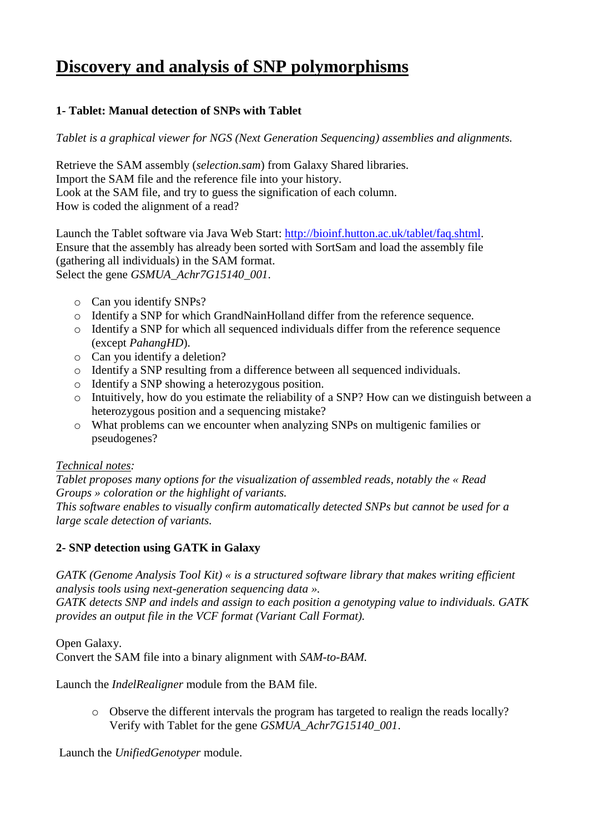# **Discovery and analysis of SNP polymorphisms**

# **1- Tablet: Manual detection of SNPs with Tablet**

*Tablet is a graphical viewer for NGS (Next Generation Sequencing) assemblies and alignments.*

Retrieve the SAM assembly (*selection.sam*) from Galaxy Shared libraries. Import the SAM file and the reference file into your history. Look at the SAM file, and try to guess the signification of each column. How is coded the alignment of a read?

Launch the Tablet software via Java Web Start: [http://bioinf.hutton.ac.uk/tablet/faq.shtml.](http://bioinf.hutton.ac.uk/tablet/faq.shtml) Ensure that the assembly has already been sorted with SortSam and load the assembly file (gathering all individuals) in the SAM format. Select the gene *GSMUA\_Achr7G15140\_001*.

- o Can you identify SNPs?
- o Identify a SNP for which GrandNainHolland differ from the reference sequence.
- o Identify a SNP for which all sequenced individuals differ from the reference sequence (except *PahangHD*).
- o Can you identify a deletion?
- o Identify a SNP resulting from a difference between all sequenced individuals.
- o Identify a SNP showing a heterozygous position.
- o Intuitively, how do you estimate the reliability of a SNP? How can we distinguish between a heterozygous position and a sequencing mistake?
- o What problems can we encounter when analyzing SNPs on multigenic families or pseudogenes?

# *Technical notes:*

*Tablet proposes many options for the visualization of assembled reads, notably the « Read Groups » coloration or the highlight of variants.* 

*This software enables to visually confirm automatically detected SNPs but cannot be used for a large scale detection of variants.*

# **2- SNP detection using GATK in Galaxy**

*GATK (Genome Analysis Tool Kit) « is a structured software library that makes writing efficient analysis tools using next-generation sequencing data ».* 

*GATK detects SNP and indels and assign to each position a genotyping value to individuals. GATK provides an output file in the VCF format (Variant Call Format).*

Open Galaxy. Convert the SAM file into a binary alignment with *SAM-to-BAM.*

Launch the *IndelRealigner* module from the BAM file.

o Observe the different intervals the program has targeted to realign the reads locally? Verify with Tablet for the gene *GSMUA\_Achr7G15140\_001*.

Launch the *UnifiedGenotyper* module.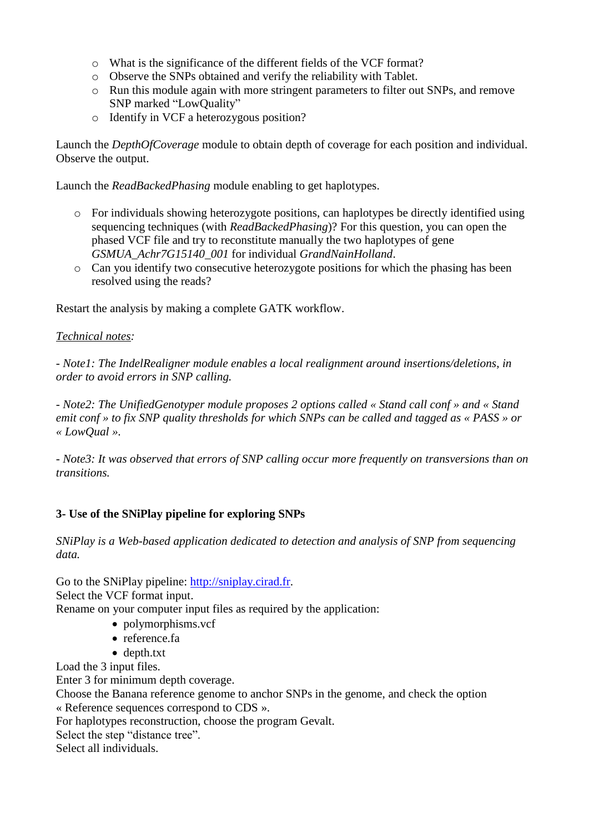- o What is the significance of the different fields of the VCF format?
- o Observe the SNPs obtained and verify the reliability with Tablet.
- o Run this module again with more stringent parameters to filter out SNPs, and remove SNP marked "LowQuality"
- o Identify in VCF a heterozygous position?

Launch the *DepthOfCoverage* module to obtain depth of coverage for each position and individual. Observe the output.

Launch the *ReadBackedPhasing* module enabling to get haplotypes.

- o For individuals showing heterozygote positions, can haplotypes be directly identified using sequencing techniques (with *ReadBackedPhasing*)? For this question, you can open the phased VCF file and try to reconstitute manually the two haplotypes of gene *GSMUA\_Achr7G15140\_001* for individual *GrandNainHolland*.
- o Can you identify two consecutive heterozygote positions for which the phasing has been resolved using the reads?

Restart the analysis by making a complete GATK workflow.

#### *Technical notes:*

*- Note1: The IndelRealigner module enables a local realignment around insertions/deletions, in order to avoid errors in SNP calling.*

*- Note2: The UnifiedGenotyper module proposes 2 options called « Stand call conf » and « Stand emit conf » to fix SNP quality thresholds for which SNPs can be called and tagged as « PASS » or « LowQual ».* 

*- Note3: It was observed that errors of SNP calling occur more frequently on transversions than on transitions.*

### **3- Use of the SNiPlay pipeline for exploring SNPs**

*SNiPlay is a Web-based application dedicated to detection and analysis of SNP from sequencing data.*

Go to the SNiPlay pipeline: [http://sniplay.cirad.fr.](http://sniplay.cirad.fr/) Select the VCF format input. Rename on your computer input files as required by the application:

- polymorphisms.vcf
- reference.fa
- depth.txt

Load the 3 input files.

Enter 3 for minimum depth coverage.

Choose the Banana reference genome to anchor SNPs in the genome, and check the option « Reference sequences correspond to CDS ».

For haplotypes reconstruction, choose the program Gevalt.

Select the step "distance tree".

Select all individuals.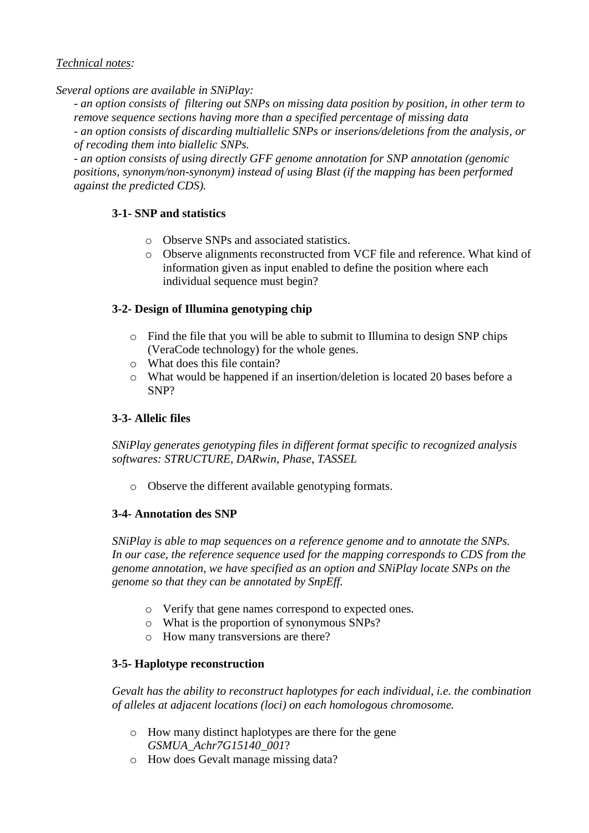## *Technical notes:*

*Several options are available in SNiPlay:*

*- an option consists of filtering out SNPs on missing data position by position, in other term to remove sequence sections having more than a specified percentage of missing data* 

*- an option consists of discarding multiallelic SNPs or inserions/deletions from the analysis, or of recoding them into biallelic SNPs.*

*- an option consists of using directly GFF genome annotation for SNP annotation (genomic positions, synonym/non-synonym) instead of using Blast (if the mapping has been performed against the predicted CDS).*

## **3-1- SNP and statistics**

- o Observe SNPs and associated statistics.
- o Observe alignments reconstructed from VCF file and reference. What kind of information given as input enabled to define the position where each individual sequence must begin?

## **3-2- Design of Illumina genotyping chip**

- o Find the file that you will be able to submit to Illumina to design SNP chips (VeraCode technology) for the whole genes.
- o What does this file contain?
- o What would be happened if an insertion/deletion is located 20 bases before a SNP?

### **3-3- Allelic files**

*SNiPlay generates genotyping files in different format specific to recognized analysis softwares: STRUCTURE, DARwin, Phase, TASSEL*

o Observe the different available genotyping formats.

### **3-4- Annotation des SNP**

*SNiPlay is able to map sequences on a reference genome and to annotate the SNPs. In our case, the reference sequence used for the mapping corresponds to CDS from the genome annotation, we have specified as an option and SNiPlay locate SNPs on the genome so that they can be annotated by SnpEff.*

- o Verify that gene names correspond to expected ones.
- o What is the proportion of synonymous SNPs?
- o How many transversions are there?

### **3-5- Haplotype reconstruction**

*Gevalt has the ability to reconstruct haplotypes for each individual, i.e. the combination of alleles at adjacent locations (loci) on each homologous chromosome.*

- o How many distinct haplotypes are there for the gene *GSMUA\_Achr7G15140\_001*?
- o How does Gevalt manage missing data?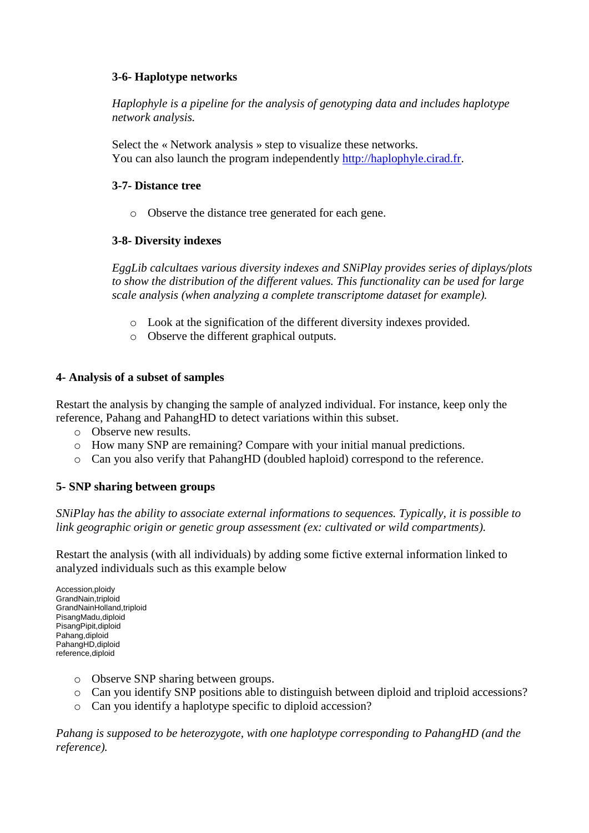### **3-6- Haplotype networks**

*Haplophyle is a pipeline for the analysis of genotyping data and includes haplotype network analysis.*

Select the « Network analysis » step to visualize these networks. You can also launch the program independently [http://haplophyle.cirad.fr.](http://haplophyle.cirad.fr/)

#### **3-7- Distance tree**

o Observe the distance tree generated for each gene.

### **3-8- Diversity indexes**

*EggLib calcultaes various diversity indexes and SNiPlay provides series of diplays/plots to show the distribution of the different values. This functionality can be used for large scale analysis (when analyzing a complete transcriptome dataset for example).*

- o Look at the signification of the different diversity indexes provided.
- o Observe the different graphical outputs.

#### **4- Analysis of a subset of samples**

Restart the analysis by changing the sample of analyzed individual. For instance, keep only the reference, Pahang and PahangHD to detect variations within this subset.

- o Observe new results.
- o How many SNP are remaining? Compare with your initial manual predictions.
- o Can you also verify that PahangHD (doubled haploid) correspond to the reference.

### **5- SNP sharing between groups**

*SNiPlay has the ability to associate external informations to sequences. Typically, it is possible to link geographic origin or genetic group assessment (ex: cultivated or wild compartments).*

Restart the analysis (with all individuals) by adding some fictive external information linked to analyzed individuals such as this example below

Accession,ploidy GrandNain,triploid GrandNainHolland,triploid PisangMadu,diploid PisangPipit,diploid Pahang,diploid PahangHD,diploid reference,diploid

- o Observe SNP sharing between groups.
- o Can you identify SNP positions able to distinguish between diploid and triploid accessions?
- o Can you identify a haplotype specific to diploid accession?

*Pahang is supposed to be heterozygote, with one haplotype corresponding to PahangHD (and the reference).*